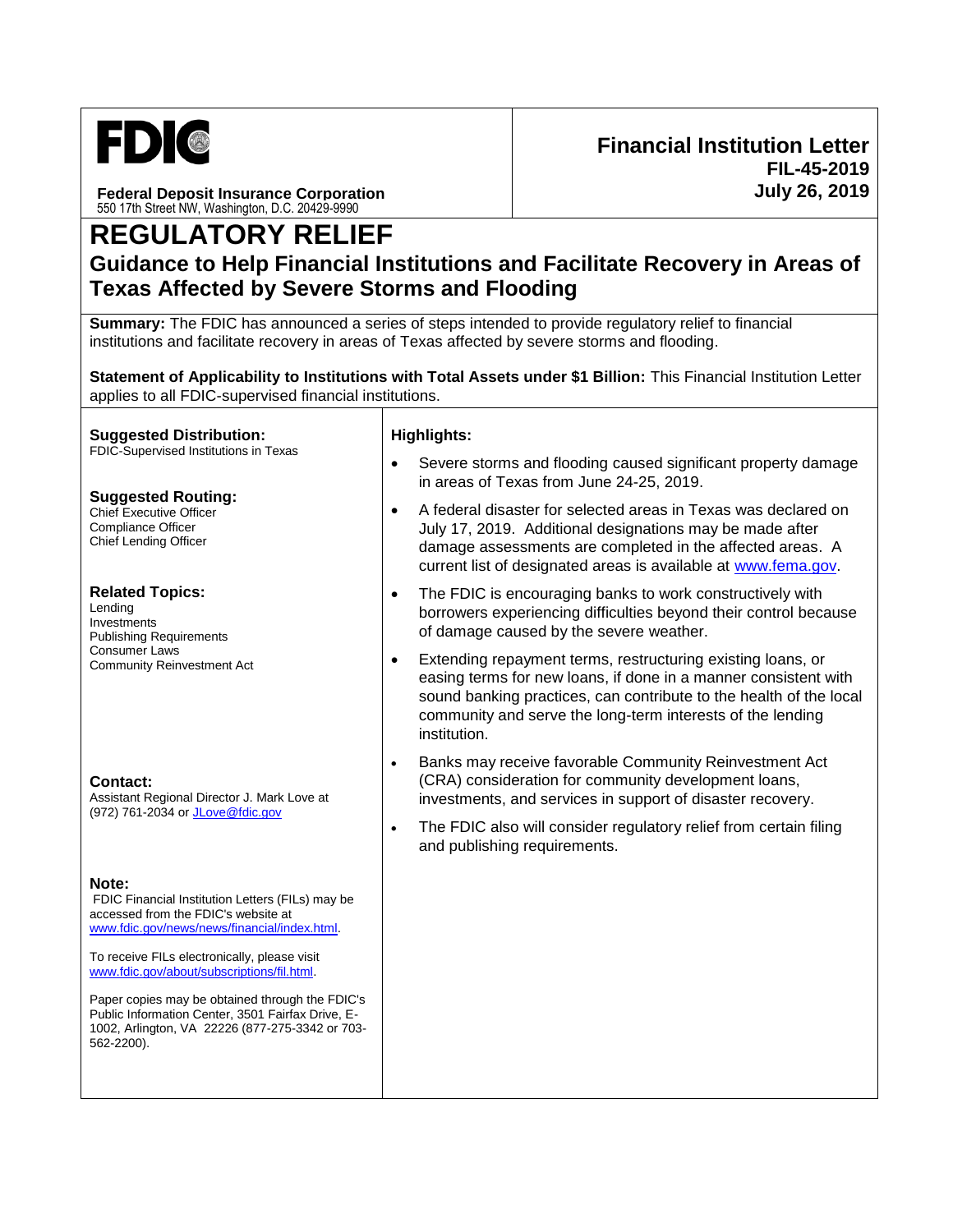

**Federal Deposit Insurance Corporation** 550 17th Street NW, Washington, D.C. 20429-9990

# **REGULATORY RELIEF**

## **Guidance to Help Financial Institutions and Facilitate Recovery in Areas of Texas Affected by Severe Storms and Flooding**

**Summary:** The FDIC has announced a series of steps intended to provide regulatory relief to financial institutions and facilitate recovery in areas of Texas affected by severe storms and flooding.

**Statement of Applicability to Institutions with Total Assets under \$1 Billion:** This Financial Institution Letter applies to all FDIC-supervised financial institutions.

#### **Suggested Distribution:**

FDIC-Supervised Institutions in Texas

#### **Suggested Routing:**

Chief Executive Officer Compliance Officer Chief Lending Officer

#### **Related Topics:**

Lending Investments Publishing Requirements Consumer Laws Community Reinvestment Act

#### **Contact:**

Assistant Regional Director J. Mark Love at (972) 761-2034 or [JLove@fdic.gov](mailto:JLove@fdic.gov)

#### **Note:**

FDIC Financial Institution Letters (FILs) may be accessed from the FDIC's website at [www.fdic.gov/news/news/financial/index.html.](https://www.fdic.gov/news/news/financial/index.html)

To receive FILs electronically, please visit [www.fdic.gov/about/subscriptions/fil.html.](https://www.fdic.gov/about/subscriptions/index.html)

Paper copies may be obtained through the FDIC's Public Information Center, 3501 Fairfax Drive, E-1002, Arlington, VA 22226 (877-275-3342 or 703- 562-2200).

#### **Highlights:**

- Severe storms and flooding caused significant property damage in areas of Texas from June 24-25, 2019.
- A federal disaster for selected areas in Texas was declared on July 17, 2019. Additional designations may be made after damage assessments are completed in the affected areas. A current list of designated areas is available at [www.fema.gov.](https://www.fema.gov/)
- The FDIC is encouraging banks to work constructively with borrowers experiencing difficulties beyond their control because of damage caused by the severe weather.
- Extending repayment terms, restructuring existing loans, or easing terms for new loans, if done in a manner consistent with sound banking practices, can contribute to the health of the local community and serve the long-term interests of the lending institution.
- Banks may receive favorable Community Reinvestment Act (CRA) consideration for community development loans, investments, and services in support of disaster recovery.
- The FDIC also will consider regulatory relief from certain filing and publishing requirements.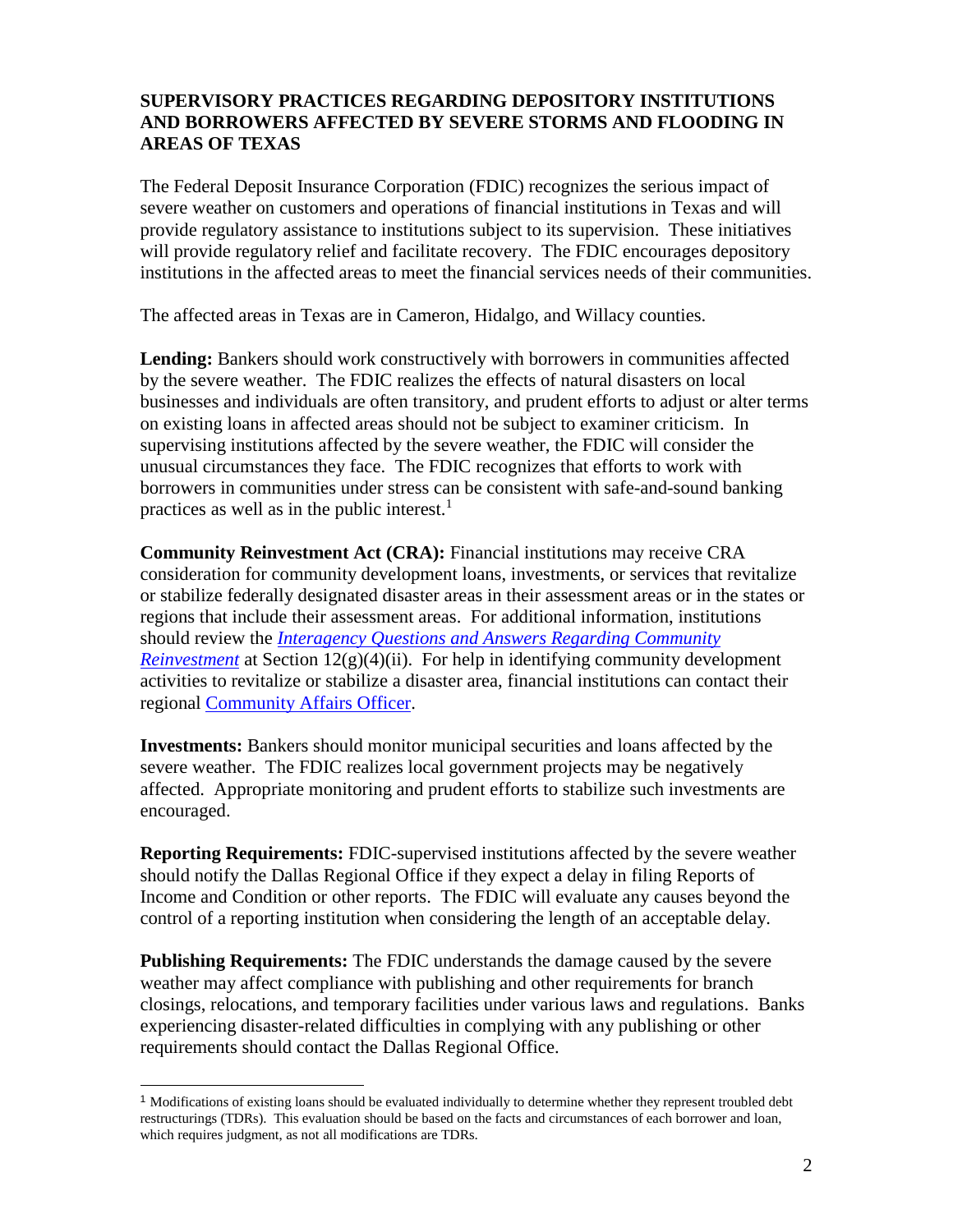### **SUPERVISORY PRACTICES REGARDING DEPOSITORY INSTITUTIONS AND BORROWERS AFFECTED BY SEVERE STORMS AND FLOODING IN AREAS OF TEXAS**

The Federal Deposit Insurance Corporation (FDIC) recognizes the serious impact of severe weather on customers and operations of financial institutions in Texas and will provide regulatory assistance to institutions subject to its supervision. These initiatives will provide regulatory relief and facilitate recovery. The FDIC encourages depository institutions in the affected areas to meet the financial services needs of their communities.

The affected areas in Texas are in Cameron, Hidalgo, and Willacy counties.

**Lending:** Bankers should work constructively with borrowers in communities affected by the severe weather. The FDIC realizes the effects of natural disasters on local businesses and individuals are often transitory, and prudent efforts to adjust or alter terms on existing loans in affected areas should not be subject to examiner criticism. In supervising institutions affected by the severe weather, the FDIC will consider the unusual circumstances they face. The FDIC recognizes that efforts to work with borrowers in communities under stress can be consistent with safe-and-sound banking practices as well as in the public interest. $<sup>1</sup>$ </sup>

**Community Reinvestment Act (CRA):** Financial institutions may receive CRA consideration for community development loans, investments, or services that revitalize or stabilize federally designated disaster areas in their assessment areas or in the states or regions that include their assessment areas. For additional information, institutions should review the *[Interagency Questions and Answers Regarding Community](https://www.ffiec.gov/cra/pdf/2010-4903.pdf)  [Reinvestment](https://www.ffiec.gov/cra/pdf/2010-4903.pdf)* at Section 12(g)(4)(ii). For help in identifying community development activities to revitalize or stabilize a disaster area, financial institutions can contact their regional [Community Affairs Officer.](https://www.fdic.gov/consumers/community/offices.html)

**Investments:** Bankers should monitor municipal securities and loans affected by the severe weather. The FDIC realizes local government projects may be negatively affected. Appropriate monitoring and prudent efforts to stabilize such investments are encouraged.

**Reporting Requirements:** FDIC-supervised institutions affected by the severe weather should notify the Dallas Regional Office if they expect a delay in filing Reports of Income and Condition or other reports. The FDIC will evaluate any causes beyond the control of a reporting institution when considering the length of an acceptable delay.

**Publishing Requirements:** The FDIC understands the damage caused by the severe weather may affect compliance with publishing and other requirements for branch closings, relocations, and temporary facilities under various laws and regulations. Banks experiencing disaster-related difficulties in complying with any publishing or other requirements should contact the Dallas Regional Office.

l

<sup>&</sup>lt;sup>1</sup> Modifications of existing loans should be evaluated individually to determine whether they represent troubled debt restructurings (TDRs). This evaluation should be based on the facts and circumstances of each borrower and loan, which requires judgment, as not all modifications are TDRs.